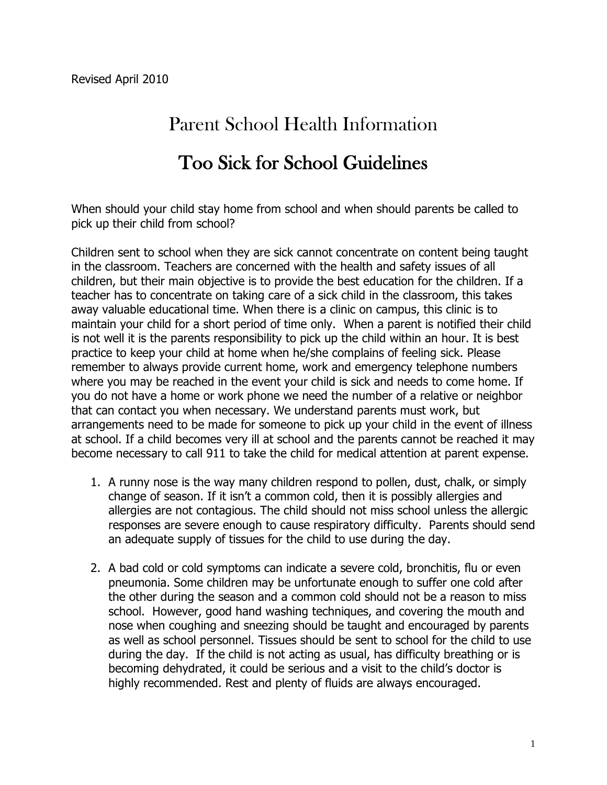## Parent School Health Information

## Too Sick for School Guidelines

When should your child stay home from school and when should parents be called to pick up their child from school?

Children sent to school when they are sick cannot concentrate on content being taught in the classroom. Teachers are concerned with the health and safety issues of all children, but their main objective is to provide the best education for the children. If a teacher has to concentrate on taking care of a sick child in the classroom, this takes away valuable educational time. When there is a clinic on campus, this clinic is to maintain your child for a short period of time only. When a parent is notified their child is not well it is the parents responsibility to pick up the child within an hour. It is best practice to keep your child at home when he/she complains of feeling sick. Please remember to always provide current home, work and emergency telephone numbers where you may be reached in the event your child is sick and needs to come home. If you do not have a home or work phone we need the number of a relative or neighbor that can contact you when necessary. We understand parents must work, but arrangements need to be made for someone to pick up your child in the event of illness at school. If a child becomes very ill at school and the parents cannot be reached it may become necessary to call 911 to take the child for medical attention at parent expense.

- 1. A runny nose is the way many children respond to pollen, dust, chalk, or simply change of season. If it isn't a common cold, then it is possibly allergies and allergies are not contagious. The child should not miss school unless the allergic responses are severe enough to cause respiratory difficulty. Parents should send an adequate supply of tissues for the child to use during the day.
- 2. A bad cold or cold symptoms can indicate a severe cold, bronchitis, flu or even pneumonia. Some children may be unfortunate enough to suffer one cold after the other during the season and a common cold should not be a reason to miss school. However, good hand washing techniques, and covering the mouth and nose when coughing and sneezing should be taught and encouraged by parents as well as school personnel. Tissues should be sent to school for the child to use during the day. If the child is not acting as usual, has difficulty breathing or is becoming dehydrated, it could be serious and a visit to the child's doctor is highly recommended. Rest and plenty of fluids are always encouraged.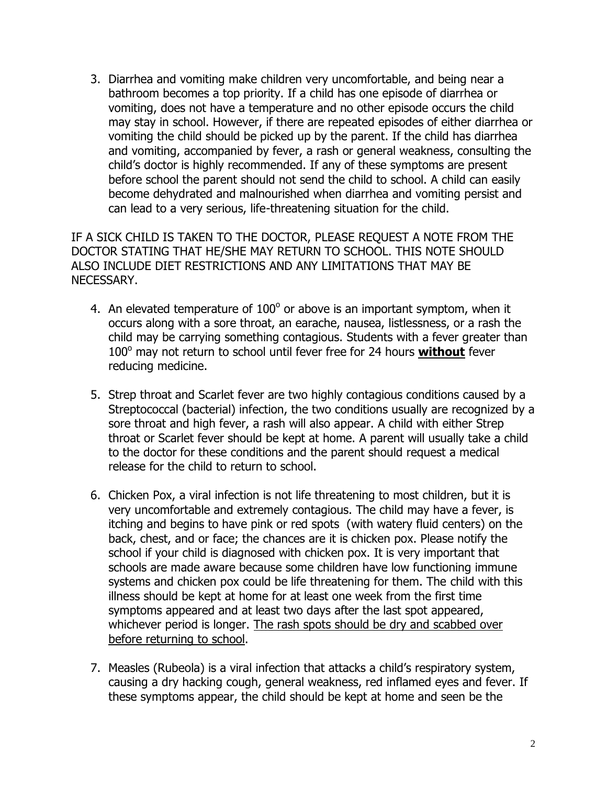3. Diarrhea and vomiting make children very uncomfortable, and being near a bathroom becomes a top priority. If a child has one episode of diarrhea or vomiting, does not have a temperature and no other episode occurs the child may stay in school. However, if there are repeated episodes of either diarrhea or vomiting the child should be picked up by the parent. If the child has diarrhea and vomiting, accompanied by fever, a rash or general weakness, consulting the child's doctor is highly recommended. If any of these symptoms are present before school the parent should not send the child to school. A child can easily become dehydrated and malnourished when diarrhea and vomiting persist and can lead to a very serious, life-threatening situation for the child.

IF A SICK CHILD IS TAKEN TO THE DOCTOR, PLEASE REQUEST A NOTE FROM THE DOCTOR STATING THAT HE/SHE MAY RETURN TO SCHOOL. THIS NOTE SHOULD ALSO INCLUDE DIET RESTRICTIONS AND ANY LIMITATIONS THAT MAY BE NECESSARY.

- 4. An elevated temperature of  $100^{\circ}$  or above is an important symptom, when it occurs along with a sore throat, an earache, nausea, listlessness, or a rash the child may be carrying something contagious. Students with a fever greater than 100° may not return to school until fever free for 24 hours without fever reducing medicine.
- 5. Strep throat and Scarlet fever are two highly contagious conditions caused by a Streptococcal (bacterial) infection, the two conditions usually are recognized by a sore throat and high fever, a rash will also appear. A child with either Strep throat or Scarlet fever should be kept at home. A parent will usually take a child to the doctor for these conditions and the parent should request a medical release for the child to return to school.
- 6. Chicken Pox, a viral infection is not life threatening to most children, but it is very uncomfortable and extremely contagious. The child may have a fever, is itching and begins to have pink or red spots (with watery fluid centers) on the back, chest, and or face; the chances are it is chicken pox. Please notify the school if your child is diagnosed with chicken pox. It is very important that schools are made aware because some children have low functioning immune systems and chicken pox could be life threatening for them. The child with this illness should be kept at home for at least one week from the first time symptoms appeared and at least two days after the last spot appeared, whichever period is longer. The rash spots should be dry and scabbed over before returning to school.
- 7. Measles (Rubeola) is a viral infection that attacks a child's respiratory system, causing a dry hacking cough, general weakness, red inflamed eyes and fever. If these symptoms appear, the child should be kept at home and seen be the